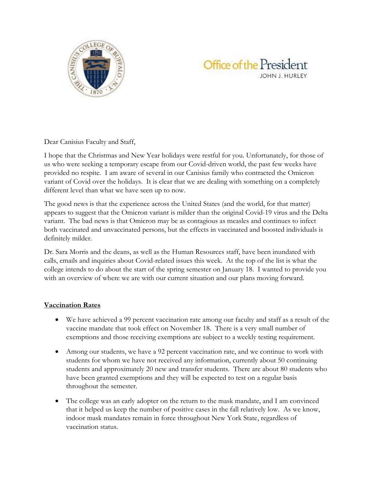



Dear Canisius Faculty and Staff,

I hope that the Christmas and New Year holidays were restful for you. Unfortunately, for those of us who were seeking a temporary escape from our Covid-driven world, the past few weeks have provided no respite. I am aware of several in our Canisius family who contracted the Omicron variant of Covid over the holidays. It is clear that we are dealing with something on a completely different level than what we have seen up to now.

The good news is that the experience across the United States (and the world, for that matter) appears to suggest that the Omicron variant is milder than the original Covid-19 virus and the Delta variant. The bad news is that Omicron may be as contagious as measles and continues to infect both vaccinated and unvaccinated persons, but the effects in vaccinated and boosted individuals is definitely milder.

Dr. Sara Morris and the deans, as well as the Human Resources staff, have been inundated with calls, emails and inquiries about Covid-related issues this week. At the top of the list is what the college intends to do about the start of the spring semester on January 18. I wanted to provide you with an overview of where we are with our current situation and our plans moving forward.

## **Vaccination Rates**

- We have achieved a 99 percent vaccination rate among our faculty and staff as a result of the vaccine mandate that took effect on November 18. There is a very small number of exemptions and those receiving exemptions are subject to a weekly testing requirement.
- Among our students, we have a 92 percent vaccination rate, and we continue to work with students for whom we have not received any information, currently about 50 continuing students and approximately 20 new and transfer students. There are about 80 students who have been granted exemptions and they will be expected to test on a regular basis throughout the semester.
- The college was an early adopter on the return to the mask mandate, and I am convinced that it helped us keep the number of positive cases in the fall relatively low. As we know, indoor mask mandates remain in force throughout New York State, regardless of vaccination status.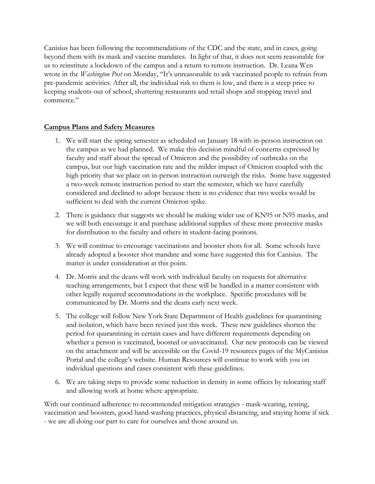Canisius has been following the recommendations of the CDC and the state, and in cases, going beyond them with its mask and vaccine mandates. In light of that, it does not seem reasonable for us to reinstitute a lockdown of the campus and a return to remote instruction. Dr. Leana Wen wrote in the *Washington Post* on Monday, "It's unreasonable to ask vaccinated people to refrain from pre-pandemic activities. After all, the individual risk to them is low, and there is a steep price to keeping students out of school, shuttering restaurants and retail shops and stopping travel and commerce."

## **Campus Plans and Safety Measures**

- 1. We will start the spring semester as scheduled on January 18 with in-person instruction on the campus as we had planned. We make this decision mindful of concerns expressed by faculty and staff about the spread of Omicron and the possibility of outbreaks on the campus, but our high vaccination rate and the milder impact of Omicron coupled with the high priority that we place on in-person instruction outweigh the risks. Some have suggested a two-week remote instruction period to start the semester, which we have carefully considered and declined to adopt because there is no evidence that two weeks would be sufficient to deal with the current Omicron spike.
- 2. There is guidance that suggests we should be making wider use of KN95 or N95 masks, and we will both encourage it and purchase additional supplies of these more protective masks for distribution to the faculty and others in student-facing positons.
- 3. We will continue to encourage vaccinations and booster shots for all. Some schools have already adopted a booster shot mandate and some have suggested this for Canisius. The matter is under consideration at this point.
- 4. Dr. Morris and the deans will work with individual faculty on requests for alternative teaching arrangements, but I expect that these will be handled in a matter consistent with other legally required accommodations in the workplace. Specific procedures will be communicated by Dr. Morris and the deans early next week.
- 5. The college will follow New York State Department of Health guidelines for quarantining and isolation, which have been revised just this week. These new guidelines shorten the period for quarantining in certain cases and have different requirements depending on whether a person is vaccinated, boosted or unvaccinated. Our new protocols can be viewed on the attachment and will be accessible on the Covid-19 resources pages of the MyCanisius Portal and the college's website. Human Resources will continue to work with you on individual questions and cases consistent with these guidelines.
- 6. We are taking steps to provide some reduction in density in some offices by relocating staff and allowing work at home where appropriate.

With our continued adherence to recommended mitigation strategies - mask-wearing, testing, vaccination and boosters, good hand-washing practices, physical distancing, and staying home if sick - we are all doing our part to care for ourselves and those around us.